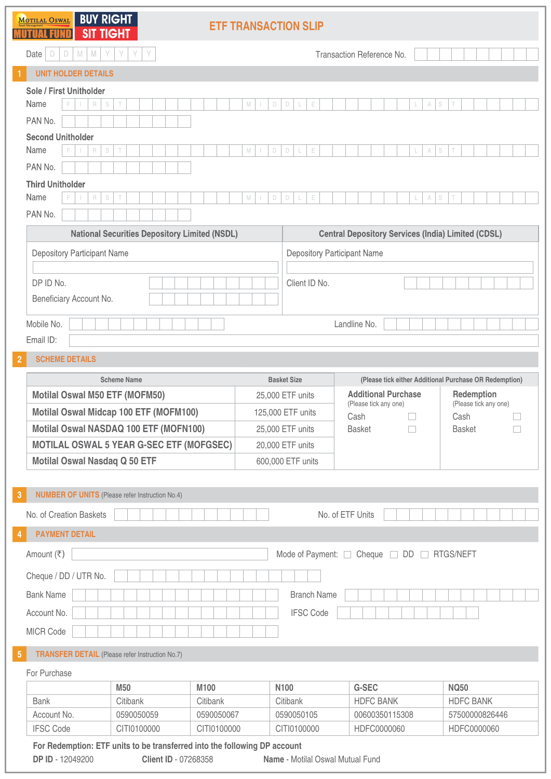**OSWALL RIIV DICUT**  $\overline{M}$ 

| $\Box$<br>$\Box$<br>M<br>$\mathbb N$<br>Y<br>Date<br>Y<br>Y<br>Y<br>Transaction Reference No.<br><b>UNIT HOLDER DETAILS</b><br>Sole / First Unitholder<br>Name<br>R<br>S<br>T<br>M<br>$\Box$<br>D<br>E<br>S<br>A<br>PAN No.<br><b>Second Unitholder</b><br>Name<br>S<br>S<br>R<br>M<br>$\Box$<br>D<br>E<br>A<br>F<br>Τ<br>L<br>L<br>PAN No.<br><b>Third Unitholder</b><br>Name<br>E<br>R<br>S<br>M<br>$\Box$<br>D<br>E<br>A<br>S<br>Τ<br>L<br>L<br>PAN No.<br><b>National Securities Depository Limited (NSDL)</b><br><b>Central Depository Services (India) Limited (CDSL)</b><br>Depository Participant Name<br>Depository Participant Name<br>DP ID No.<br>Client ID No.<br>Beneficiary Account No.<br>Mobile No.<br>Landline No.<br>Email ID:<br><b>SCHEME DETAILS</b><br>$\overline{2}$<br><b>Scheme Name</b><br><b>Basket Size</b><br>(Please tick either Additional Purchase OR Redemption)<br><b>Additional Purchase</b><br><b>Motilal Oswal M50 ETF (MOFM50)</b><br>Redemption<br>25,000 ETF units<br>(Please tick any one)<br>(Please tick any one)<br>Motilal Oswal Midcap 100 ETF (MOFM100)<br>125,000 ETF units<br>Cash<br>Cash<br>Motilal Oswal NASDAQ 100 ETF (MOFN100)<br>25,000 ETF units<br><b>Basket</b><br><b>Basket</b><br>$\Box$<br><b>MOTILAL OSWAL 5 YEAR G-SEC ETF (MOFGSEC)</b><br>20,000 ETF units<br>Motilal Oswal Nasdaq Q 50 ETF<br>600,000 ETF units<br><b>NUMBER OF UNITS</b> (Please refer Instruction No.4)<br>3<br>No. of Creation Baskets<br>No. of ETF Units<br><b>PAYMENT DETAIL</b><br>4<br>Amount (₹)<br>Mode of Payment: C Cheque DD B RTGS/NEFT |                       | <b>SIT TIGHT</b> | <b>ETF TRANSACTION SLIP</b> |  |  |  |  |
|-------------------------------------------------------------------------------------------------------------------------------------------------------------------------------------------------------------------------------------------------------------------------------------------------------------------------------------------------------------------------------------------------------------------------------------------------------------------------------------------------------------------------------------------------------------------------------------------------------------------------------------------------------------------------------------------------------------------------------------------------------------------------------------------------------------------------------------------------------------------------------------------------------------------------------------------------------------------------------------------------------------------------------------------------------------------------------------------------------------------------------------------------------------------------------------------------------------------------------------------------------------------------------------------------------------------------------------------------------------------------------------------------------------------------------------------------------------------------------------------------------------------------------------------------------------------------------------------|-----------------------|------------------|-----------------------------|--|--|--|--|
|                                                                                                                                                                                                                                                                                                                                                                                                                                                                                                                                                                                                                                                                                                                                                                                                                                                                                                                                                                                                                                                                                                                                                                                                                                                                                                                                                                                                                                                                                                                                                                                           |                       |                  |                             |  |  |  |  |
|                                                                                                                                                                                                                                                                                                                                                                                                                                                                                                                                                                                                                                                                                                                                                                                                                                                                                                                                                                                                                                                                                                                                                                                                                                                                                                                                                                                                                                                                                                                                                                                           |                       |                  |                             |  |  |  |  |
|                                                                                                                                                                                                                                                                                                                                                                                                                                                                                                                                                                                                                                                                                                                                                                                                                                                                                                                                                                                                                                                                                                                                                                                                                                                                                                                                                                                                                                                                                                                                                                                           |                       |                  |                             |  |  |  |  |
|                                                                                                                                                                                                                                                                                                                                                                                                                                                                                                                                                                                                                                                                                                                                                                                                                                                                                                                                                                                                                                                                                                                                                                                                                                                                                                                                                                                                                                                                                                                                                                                           |                       |                  |                             |  |  |  |  |
|                                                                                                                                                                                                                                                                                                                                                                                                                                                                                                                                                                                                                                                                                                                                                                                                                                                                                                                                                                                                                                                                                                                                                                                                                                                                                                                                                                                                                                                                                                                                                                                           |                       |                  |                             |  |  |  |  |
|                                                                                                                                                                                                                                                                                                                                                                                                                                                                                                                                                                                                                                                                                                                                                                                                                                                                                                                                                                                                                                                                                                                                                                                                                                                                                                                                                                                                                                                                                                                                                                                           |                       |                  |                             |  |  |  |  |
|                                                                                                                                                                                                                                                                                                                                                                                                                                                                                                                                                                                                                                                                                                                                                                                                                                                                                                                                                                                                                                                                                                                                                                                                                                                                                                                                                                                                                                                                                                                                                                                           |                       |                  |                             |  |  |  |  |
|                                                                                                                                                                                                                                                                                                                                                                                                                                                                                                                                                                                                                                                                                                                                                                                                                                                                                                                                                                                                                                                                                                                                                                                                                                                                                                                                                                                                                                                                                                                                                                                           |                       |                  |                             |  |  |  |  |
|                                                                                                                                                                                                                                                                                                                                                                                                                                                                                                                                                                                                                                                                                                                                                                                                                                                                                                                                                                                                                                                                                                                                                                                                                                                                                                                                                                                                                                                                                                                                                                                           |                       |                  |                             |  |  |  |  |
|                                                                                                                                                                                                                                                                                                                                                                                                                                                                                                                                                                                                                                                                                                                                                                                                                                                                                                                                                                                                                                                                                                                                                                                                                                                                                                                                                                                                                                                                                                                                                                                           |                       |                  |                             |  |  |  |  |
|                                                                                                                                                                                                                                                                                                                                                                                                                                                                                                                                                                                                                                                                                                                                                                                                                                                                                                                                                                                                                                                                                                                                                                                                                                                                                                                                                                                                                                                                                                                                                                                           |                       |                  |                             |  |  |  |  |
|                                                                                                                                                                                                                                                                                                                                                                                                                                                                                                                                                                                                                                                                                                                                                                                                                                                                                                                                                                                                                                                                                                                                                                                                                                                                                                                                                                                                                                                                                                                                                                                           |                       |                  |                             |  |  |  |  |
|                                                                                                                                                                                                                                                                                                                                                                                                                                                                                                                                                                                                                                                                                                                                                                                                                                                                                                                                                                                                                                                                                                                                                                                                                                                                                                                                                                                                                                                                                                                                                                                           |                       |                  |                             |  |  |  |  |
|                                                                                                                                                                                                                                                                                                                                                                                                                                                                                                                                                                                                                                                                                                                                                                                                                                                                                                                                                                                                                                                                                                                                                                                                                                                                                                                                                                                                                                                                                                                                                                                           |                       |                  |                             |  |  |  |  |
|                                                                                                                                                                                                                                                                                                                                                                                                                                                                                                                                                                                                                                                                                                                                                                                                                                                                                                                                                                                                                                                                                                                                                                                                                                                                                                                                                                                                                                                                                                                                                                                           |                       |                  |                             |  |  |  |  |
|                                                                                                                                                                                                                                                                                                                                                                                                                                                                                                                                                                                                                                                                                                                                                                                                                                                                                                                                                                                                                                                                                                                                                                                                                                                                                                                                                                                                                                                                                                                                                                                           |                       |                  |                             |  |  |  |  |
|                                                                                                                                                                                                                                                                                                                                                                                                                                                                                                                                                                                                                                                                                                                                                                                                                                                                                                                                                                                                                                                                                                                                                                                                                                                                                                                                                                                                                                                                                                                                                                                           |                       |                  |                             |  |  |  |  |
|                                                                                                                                                                                                                                                                                                                                                                                                                                                                                                                                                                                                                                                                                                                                                                                                                                                                                                                                                                                                                                                                                                                                                                                                                                                                                                                                                                                                                                                                                                                                                                                           |                       |                  |                             |  |  |  |  |
|                                                                                                                                                                                                                                                                                                                                                                                                                                                                                                                                                                                                                                                                                                                                                                                                                                                                                                                                                                                                                                                                                                                                                                                                                                                                                                                                                                                                                                                                                                                                                                                           |                       |                  |                             |  |  |  |  |
|                                                                                                                                                                                                                                                                                                                                                                                                                                                                                                                                                                                                                                                                                                                                                                                                                                                                                                                                                                                                                                                                                                                                                                                                                                                                                                                                                                                                                                                                                                                                                                                           |                       |                  |                             |  |  |  |  |
|                                                                                                                                                                                                                                                                                                                                                                                                                                                                                                                                                                                                                                                                                                                                                                                                                                                                                                                                                                                                                                                                                                                                                                                                                                                                                                                                                                                                                                                                                                                                                                                           |                       |                  |                             |  |  |  |  |
|                                                                                                                                                                                                                                                                                                                                                                                                                                                                                                                                                                                                                                                                                                                                                                                                                                                                                                                                                                                                                                                                                                                                                                                                                                                                                                                                                                                                                                                                                                                                                                                           |                       |                  |                             |  |  |  |  |
|                                                                                                                                                                                                                                                                                                                                                                                                                                                                                                                                                                                                                                                                                                                                                                                                                                                                                                                                                                                                                                                                                                                                                                                                                                                                                                                                                                                                                                                                                                                                                                                           |                       |                  |                             |  |  |  |  |
|                                                                                                                                                                                                                                                                                                                                                                                                                                                                                                                                                                                                                                                                                                                                                                                                                                                                                                                                                                                                                                                                                                                                                                                                                                                                                                                                                                                                                                                                                                                                                                                           |                       |                  |                             |  |  |  |  |
|                                                                                                                                                                                                                                                                                                                                                                                                                                                                                                                                                                                                                                                                                                                                                                                                                                                                                                                                                                                                                                                                                                                                                                                                                                                                                                                                                                                                                                                                                                                                                                                           |                       |                  |                             |  |  |  |  |
|                                                                                                                                                                                                                                                                                                                                                                                                                                                                                                                                                                                                                                                                                                                                                                                                                                                                                                                                                                                                                                                                                                                                                                                                                                                                                                                                                                                                                                                                                                                                                                                           |                       |                  |                             |  |  |  |  |
|                                                                                                                                                                                                                                                                                                                                                                                                                                                                                                                                                                                                                                                                                                                                                                                                                                                                                                                                                                                                                                                                                                                                                                                                                                                                                                                                                                                                                                                                                                                                                                                           |                       |                  |                             |  |  |  |  |
| <b>Bank Name</b><br><b>Branch Name</b>                                                                                                                                                                                                                                                                                                                                                                                                                                                                                                                                                                                                                                                                                                                                                                                                                                                                                                                                                                                                                                                                                                                                                                                                                                                                                                                                                                                                                                                                                                                                                    | Cheque / DD / UTR No. |                  |                             |  |  |  |  |
| Account No.<br><b>IFSC Code</b>                                                                                                                                                                                                                                                                                                                                                                                                                                                                                                                                                                                                                                                                                                                                                                                                                                                                                                                                                                                                                                                                                                                                                                                                                                                                                                                                                                                                                                                                                                                                                           |                       |                  |                             |  |  |  |  |
| MICR Code                                                                                                                                                                                                                                                                                                                                                                                                                                                                                                                                                                                                                                                                                                                                                                                                                                                                                                                                                                                                                                                                                                                                                                                                                                                                                                                                                                                                                                                                                                                                                                                 |                       |                  |                             |  |  |  |  |
| <b>TRANSFER DETAIL</b> (Please refer Instruction No.7)<br>$\sqrt{5}$                                                                                                                                                                                                                                                                                                                                                                                                                                                                                                                                                                                                                                                                                                                                                                                                                                                                                                                                                                                                                                                                                                                                                                                                                                                                                                                                                                                                                                                                                                                      |                       |                  |                             |  |  |  |  |
| For Purchase                                                                                                                                                                                                                                                                                                                                                                                                                                                                                                                                                                                                                                                                                                                                                                                                                                                                                                                                                                                                                                                                                                                                                                                                                                                                                                                                                                                                                                                                                                                                                                              |                       |                  |                             |  |  |  |  |
| <b>G-SEC</b><br>M50<br>M100<br><b>NQ50</b><br>N <sub>100</sub>                                                                                                                                                                                                                                                                                                                                                                                                                                                                                                                                                                                                                                                                                                                                                                                                                                                                                                                                                                                                                                                                                                                                                                                                                                                                                                                                                                                                                                                                                                                            |                       |                  |                             |  |  |  |  |
| Citibank<br>Citibank<br><b>HDFC BANK</b><br><b>HDFC BANK</b><br><b>Bank</b><br>Citibank                                                                                                                                                                                                                                                                                                                                                                                                                                                                                                                                                                                                                                                                                                                                                                                                                                                                                                                                                                                                                                                                                                                                                                                                                                                                                                                                                                                                                                                                                                   |                       |                  |                             |  |  |  |  |
| Account No.<br>0590050059<br>0590050067<br>0590050105<br>00600350115308<br>57500000826446                                                                                                                                                                                                                                                                                                                                                                                                                                                                                                                                                                                                                                                                                                                                                                                                                                                                                                                                                                                                                                                                                                                                                                                                                                                                                                                                                                                                                                                                                                 |                       |                  |                             |  |  |  |  |
| <b>IFSC Code</b><br>CITI0100000<br>CITI0100000<br>HDFC0000060<br>HDFC0000060<br>CITI0100000                                                                                                                                                                                                                                                                                                                                                                                                                                                                                                                                                                                                                                                                                                                                                                                                                                                                                                                                                                                                                                                                                                                                                                                                                                                                                                                                                                                                                                                                                               |                       |                  |                             |  |  |  |  |

**DP ID** - 12049200 **Client ID** - 07268358 **Name** - Motilal Oswal Mutual Fund